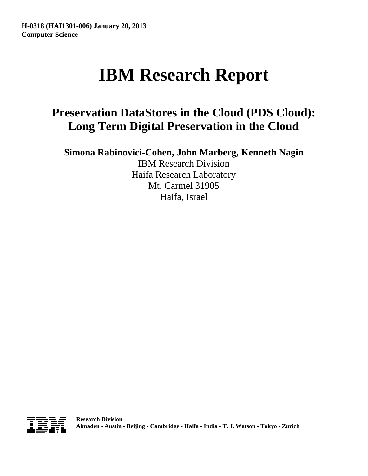# **IBM Research Report**

## **Preservation DataStores in the Cloud (PDS Cloud): Long Term Digital Preservation in the Cloud**

**Simona Rabinovici-Cohen, John Marberg, Kenneth Nagin**

IBM Research Division Haifa Research Laboratory Mt. Carmel 31905 Haifa, Israel

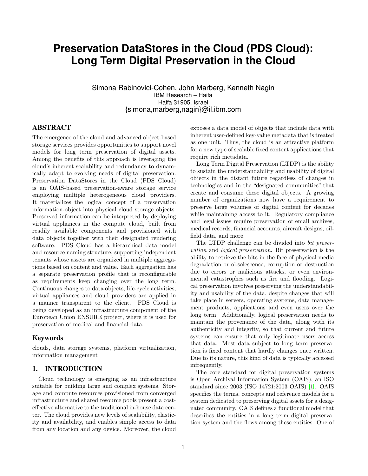### **Preservation DataStores in the Cloud (PDS Cloud): Long Term Digital Preservation in the Cloud**

Simona Rabinovici-Cohen, John Marberg, Kenneth Nagin IBM Research – Haifa Haifa 31905, Israel {simona,marberg,nagin}@il.ibm.com

#### ABSTRACT

The emergence of the cloud and advanced object-based storage services provides opportunities to support novel models for long term preservation of digital assets. Among the benefits of this approach is leveraging the cloud's inherent scalability and redundancy to dynamically adapt to evolving needs of digital preservation. Preservation DataStores in the Cloud (PDS Cloud) is an OAIS-based preservation-aware storage service employing multiple heterogeneous cloud providers. It materializes the logical concept of a preservation information-object into physical cloud storage objects. Preserved information can be interpreted by deploying virtual appliances in the compute cloud, built from readily available components and provisioned with data objects together with their designated rendering software. PDS Cloud has a hierarchical data model and resource naming structure, supporting independent tenants whose assets are organized in multiple aggregations based on content and value. Each aggregation has a separate preservation profile that is reconfigurable as requirements keep changing over the long term. Continuous changes to data objects, life-cycle activities, virtual appliances and cloud providers are applied in a manner transparent to the client. PDS Cloud is being developed as an infrastructure component of the European Union ENSURE project, where it is used for preservation of medical and financial data.

#### Keywords

clouds, data storage systems, platform virtualization, information management

#### 1. INTRODUCTION

Cloud technology is emerging as an infrastructure suitable for building large and complex systems. Storage and compute resources provisioned from converged infrastructure and shared resource pools present a costeffective alternative to the traditional in-house data center. The cloud provides new levels of scalability, elasticity and availability, and enables simple access to data from any location and any device. Moreover, the cloud exposes a data model of objects that include data with inherent user-defined key-value metadata that is treated as one unit. Thus, the cloud is an attractive platform for a new type of scalable fixed content applications that require rich metadata.

Long Term Digital Preservation (LTDP) is the ability to sustain the understandability and usability of digital objects in the distant future regardless of changes in technologies and in the "designated communities" that create and consume these digital objects. A growing number of organizations now have a requirement to preserve large volumes of digital content for decades while maintaining access to it. Regulatory compliance and legal issues require preservation of email archives, medical records, financial accounts, aircraft designs, oilfield data, and more.

The LTDP challenge can be divided into bit preservation and logical preservation. Bit preservation is the ability to retrieve the bits in the face of physical media degradation or obsolescence, corruption or destruction due to errors or malicious attacks, or even environmental catastrophes such as fire and flooding. Logical preservation involves preserving the understandability and usability of the data, despite changes that will take place in servers, operating systems, data management products, applications and even users over the long term. Additionally, logical preservation needs to maintain the provenance of the data, along with its authenticity and integrity, so that current and future systems can ensure that only legitimate users access that data. Most data subject to long term preservation is fixed content that hardly changes once written. Due to its nature, this kind of data is typically accessed infrequently.

The core standard for digital preservation systems is Open Archival Information System (OAIS), an ISO standard since 2003 (ISO 14721:2003 OAIS) [\[1\]](#page-16-0). OAIS specifies the terms, concepts and reference models for a system dedicated to preserving digital assets for a designated community. OAIS defines a functional model that describes the entities in a long term digital preservation system and the flows among these entities. One of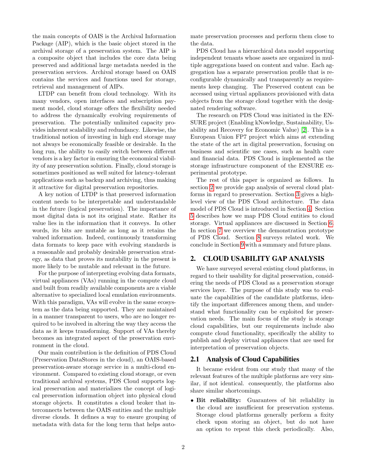the main concepts of OAIS is the Archival Information Package (AIP), which is the basic object stored in the archival storage of a preservation system. The AIP is a composite object that includes the core data being preserved and additional large metadata needed in the preservation services. Archival storage based on OAIS contains the services and functions used for storage, retrieval and management of AIPs.

LTDP can benefit from cloud technology. With its many vendors, open interfaces and subscription payment model, cloud storage offers the flexibility needed to address the dynamically evolving requirements of preservation. The potentially unlimited capacity provides inherent scalability and redundancy. Likewise, the traditional notion of investing in high end storage may not always be economically feasible or desirable. In the long run, the ability to easily switch between different vendors is a key factor in ensuring the economical viability of any preservation solution. Finally, cloud storage is sometimes positioned as well suited for latency-tolerant applications such as backup and archiving, thus making it attractive for digital preservation repositories.

A key notion of LTDP is that preserved information content needs to be interpretable and understandable in the future (logical preservation). The importance of most digital data is not its original state. Rather its value lies in the information that it conveys. In other words, its bits are mutable as long as it retains the valued information. Indeed, continuously transforming data formats to keep pace with evolving standards is a reasonable and probably desirable preservation strategy, as data that proves its mutability in the present is more likely to be mutable and relevant in the future.

For the purpose of interpreting evolving data formats, virtual appliances (VAs) running in the compute cloud and built from readily available components are a viable alternative to specialized local emulation environments. With this paradigm, VAs will evolve in the same ecosystem as the data being supported. They are maintained in a manner transparent to users, who are no longer required to be involved in altering the way they access the data as it keeps transforming. Support of VAs thereby becomes an integrated aspect of the preservation environment in the cloud.

Our main contribution is the definition of PDS Cloud (Preservation DataStores in the cloud), an OAIS-based preservation-aware storage service in a multi-cloud environment. Compared to existing cloud storage, or even traditional archival systems, PDS Cloud supports logical preservation and materializes the concept of logical preservation information object into physical cloud storage objects. It constitutes a cloud broker that interconnects between the OAIS entities and the multiple diverse clouds. It defines a way to ensure grouping of metadata with data for the long term that helps automate preservation processes and perform them close to the data.

PDS Cloud has a hierarchical data model supporting independent tenants whose assets are organized in multiple aggregations based on content and value. Each aggregation has a separate preservation profile that is reconfigurable dynamically and transparently as requirements keep changing. The Preserved content can be accessed using virtual appliances provisioned with data objects from the storage cloud together with the designated rendering software.

The research on PDS Cloud was initiated in the EN-SURE project (Enabling kNowledge, Sustainability, Usability and Recovery for Economic Value) [\[2\]](#page-16-1). This is a European Union FP7 project which aims at extending the state of the art in digital preservation, focusing on business and scientific use cases, such as health care and financial data. PDS Cloud is implemented as the storage infrastructure component of the ENSURE experimental prototype.

The rest of this paper is organized as follows. In section [2](#page-2-0) we provide gap analysis of several cloud platforms in regard to preservation. Section [3](#page-5-0) gives a highlevel view of the PDS Cloud architecture. The data model of PDS Cloud is introduced in Section [4.](#page-7-0) Section [5](#page-9-0) describes how we map PDS Cloud entities to cloud storage. Virtual appliances are discussed in Section [6.](#page-11-0) In section [7](#page-14-0) we overview the demonstration prototype of PDS Cloud. Section [8](#page-14-1) surveys related work. We conclude in Section [9](#page-15-0) with a summary and future plans.

#### <span id="page-2-0"></span>2. CLOUD USABILITY GAP ANALYSIS

We have surveyed several existing cloud platforms, in regard to their usability for digital preservation, considering the needs of PDS Cloud as a preservation storage services layer. The purpose of this study was to evaluate the capabilities of the candidate platforms, identify the important differences among them, and understand what functionality can be exploited for preservation needs. The main focus of the study is storage cloud capabilities, but our requirements include also compute cloud functionality, specifically the ability to publish and deploy virtual appliances that are used for interpretation of preservation objects.

#### 2.1 Analysis of Cloud Capabilities

It became evident from our study that many of the relevant features of the multiple platforms are very similar, if not identical. consequently, the platforms also share similar shortcomings.

• Bit reliability: Guarantees of bit reliability in the cloud are insufficient for preservation systems. Storage cloud platforms generally perform a fixity check upon storing an object, but do not have an option to repeat this check periodically. Also,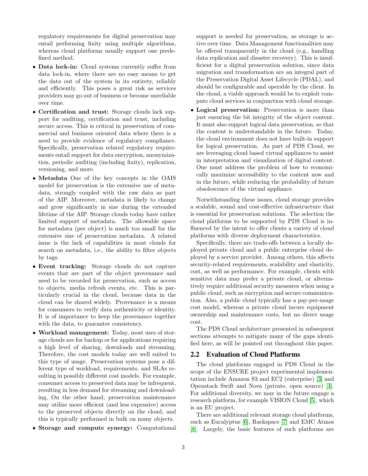regulatory requirements for digital preservation may entail performing fixity using multiple algorithms, whereas cloud platforms usually support one predefined method.

- Data lock-in: Cloud systems currently suffer from data lock-in, where there are no easy means to get the data out of the system in its entirety, reliably and efficiently. This poses a great risk as services providers may go out of business or become unreliable over time.
- Certification and trust: Storage clouds lack support for auditing, certification and trust, including secure access. This is critical in preservation of commercial and business oriented data where there is a need to provide evidence of regulatory compliance. Specifically, preservation related regulatory requirements entail support for data encryption, anonymization, periodic auditing (including fixity), replication, versioning, and more.
- Metadata One of the key concepts in the OAIS model for preservation is the extensive use of metadata, strongly coupled with the raw data as part of the AIP. Moreover, metadata is likely to change and grow significantly in size during the extended lifetime of the AIP. Storage clouds today have rather limited support of metadata. The allowable space for metadata (per object) is much too small for the extensive size of preservation metadata. A related issue is the lack of capabilities in most clouds for search on metadata, i.e., the ability to filter objects by tags.
- Event tracking: Storage clouds do not capture events that are part of the object provenance and need to be recorded for preservation, such as access to objects, media refresh events, etc. This is particularly crucial in the cloud, because data in the cloud can be shared widely. Provenance is a means for consumers to verify data authenticity or identity. It is of importance to keep the provenance together with the data, to guarantee consistency.
- Workload management: Today, most uses of storage clouds are for backup or for applications requiring a high level of sharing, downloads and streaming. Therefore, the cost models today are well suited to this type of usage. Preservation systems pose a different type of workload, requirements, and SLAs resulting in possibly different cost models. For example, consumer access to preserved data may be infrequent, resulting in less demand for streaming and downloading, On the other hand, preservation maintenance may utilize more efficient (and less expensive) access to the preserved objects directly on the cloud, and this is typically performed in bulk on many objects.
- Storage and compute synergy: Computational

support is needed for preservation, as storage is active over time. Data Management functionalities may be offered transparently in the cloud (e.g., handling data replication and disaster recovery). This is insufficient for a digital preservation solution, since data migration and transformation are an integral part of the Preservation Digital Asset Lifecycle (PDAL), and should be configurable and operable by the client. In the cloud, a viable approach would be to exploit compute cloud services in conjunction with cloud storage.

• Logical preservation: Preservation is more than just ensuring the bit integrity of the object content. It must also support logical data preservation, so that the content is understandable in the future. Today, the cloud environment does not have built-in support for logical preservation. As part of PDS Cloud, we are leveraging cloud based virtual appliances to assist in interpretation and visualization of digital content. One must address the problem of how to economically maximize accessibility to the content now and in the future, while reducing the probability of future obsolescence of the virtual appliance.

Notwithstanding these issues, cloud storage provides a scalable, sound and cost-effective infrastructure that is essential for preservation solutions. The selection the cloud platforms to be supported by PDS Cloud is influenced by the intent to offer clients a variety of cloud platforms with diverse deployment characteristics.

Specifically, there are trade-offs between a locally deployed private cloud and a public enterprise cloud deployed by a service provider. Among others, this affects security-related requirements, scalability and elasticity, cost, as well as performance. For example, clients with sensitive data may prefer a private cloud, or alternatively require additional security measures when using a public cloud, such as encryption and secure communication. Also, a public cloud typically has a pay-per-usage cost model, whereas a private cloud incurs equipment ownership and maintenance costs, but no direct usage cost.

The PDS Cloud architecture presented in subsequent sections attempts to mitigate many of the gaps identified here, as will be pointed out throughout this paper.

#### 2.2 Evaluation of Cloud Platforms

The cloud platforms engaged in PDS Cloud in the scope of the ENSURE project experimental implementation include Amazon S3 and EC2 (enterprise) [\[3\]](#page-16-2) and Openstack Swift and Nova (private, open source) [\[4\]](#page-16-3). For additional diversity, we may in the future engage a research platform, for example VISION Cloud [\[5\]](#page-16-4), which is an EU project.

There are additional relevant storage cloud platforms, such as Eucalyptus [\[6\]](#page-16-5), Rackspace [\[7\]](#page-16-6) and EMC Atmos [\[8\]](#page-16-7). Largely, the basic features of such platforms are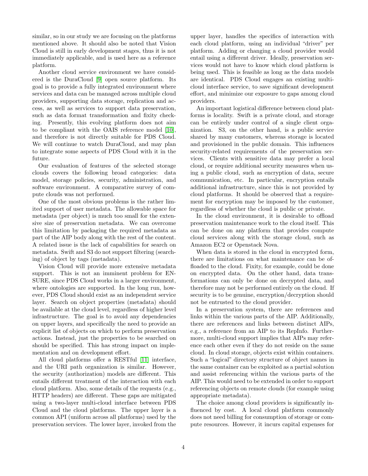similar, so in our study we are focusing on the platforms mentioned above. It should also be noted that Vision Cloud is still in early development stages, thus it is not immediately applicable, and is used here as a reference platform.

Another cloud service environment we have considered is the DuraCloud [\[9\]](#page-16-8) open source platform. Its goal is to provide a fully integrated environment where services and data can be managed across multiple cloud providers, supporting data storage, replication and access, as well as services to support data preservation, such as data format transformation and fixity checking. Presently, this evolving platform does not aim to be compliant with the OAIS reference model [\[10\]](#page-17-0), and therefore is not directly suitable for PDS Cloud. We will continue to watch DuraCloud, and may plan to integrate some aspects of PDS Cloud with it in the future.

Our evaluation of features of the selected storage clouds covers the following broad categories: data model, storage policies, security, administration, and software environment. A comparative survey of compute clouds was not performed.

One of the most obvious problems is the rather limited support of user metadata. The allowable space for metadata (per object) is much too small for the extensive size of preservation metadata. We can overcome this limitation by packaging the required metadata as part of the AIP body along with the rest of the content. A related issue is the lack of capabilities for search on metadata. Swift and S3 do not support filtering (searching) of object by tags (metadata).

Vision Cloud will provide more extensive metadata support. This is not an imminent problem for EN-SURE, since PDS Cloud works in a larger environment, where ontologies are supported. In the long run, however, PDS Cloud should exist as an independent service layer. Search on object properties (metadata) should be available at the cloud level, regardless of higher level infrastructure. The goal is to avoid any dependencies on upper layers, and specifically the need to provide an explicit list of objects on which to perform preservation actions. Instead, just the properties to be searched on should be specified. This has strong impact on implementation and on development effort.

All cloud platforms offer a RESTful [\[11\]](#page-17-1) interface, and the URI path organization is similar. However, the security (authorization) models are different. This entails different treatment of the interaction with each cloud platform. Also, some details of the requests (e.g., HTTP headers) are different. These gaps are mitigated using a two-layer multi-cloud interface between PDS Cloud and the cloud platforms. The upper layer is a common API (uniform across all platforms) used by the preservation services. The lower layer, invoked from the upper layer, handles the specifics of interaction with each cloud platform, using an individual "driver" per platform. Adding or changing a cloud provider would entail using a different driver. Ideally, preservation services would not have to know which cloud platform is being used. This is feasible as long as the data models are identical. PDS Cloud engages an existing multicloud interface service, to save significant development effort, and minimize our exposure to gaps among cloud providers.

An important logistical difference between cloud platforms is locality. Swift is a private cloud, and storage can be entirely under control of a single client organization. S3, on the other hand, is a public service shared by many customers, whereas storage is located and provisioned in the public domain. This influences security-related requirements of the preservation services. Clients with sensitive data may prefer a local cloud, or require additional security measures when using a public cloud, such as encryption of data, secure communication, etc. In particular, encryption entails additional infrastructure, since this is not provided by cloud platforms. It should be observed that a requirement for encryption may be imposed by the customer, regardless of whether the cloud is public or private.

In the cloud environment, it is desirable to offload preservation maintenance work to the cloud itself. This can be done on any platform that provides compute cloud services along with the storage cloud, such as Amazon EC2 or Openstack Nova.

When data is stored in the cloud in encrypted form, there are limitations on what maintenance can be offloaded to the cloud. Fixity, for example, could be done on encrypted data. On the other hand, data transformations can only be done on decrypted data, and therefore may not be performed entirely on the cloud. If security is to be genuine, encryption/decryption should not be entrusted to the cloud provider.

In a preservation system, there are references and links within the various parts of the AIP. Additionally, there are references and links between distinct AIPs, e.g., a reference from an AIP to its RepInfo. Furthermore, multi-cloud support implies that AIPs may reference each other even if they do not reside on the same cloud. In cloud storage, objects exist within containers. Such a "logical" directory structure of object names in the same container can be exploited as a partial solution and assist referencing within the various parts of the AIP. This would need to be extended in order to support referencing objects on remote clouds (for example using appropriate metadata).

The choice among cloud providers is significantly influenced by cost. A local cloud platform commonly does not need billing for consumption of storage or compute resources. However, it incurs capital expenses for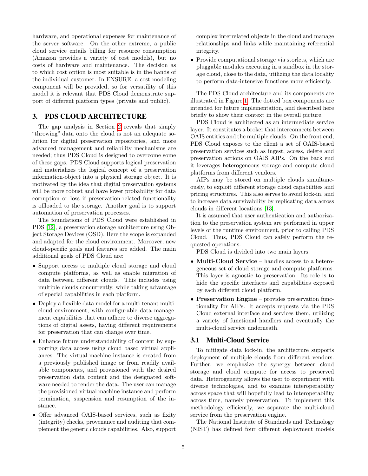hardware, and operational expenses for maintenance of the server software. On the other extreme, a public cloud service entails billing for resource consumption (Amazon provides a variety of cost models), but no costs of hardware and maintenance. The decision as to which cost option is most suitable is in the hands of the individual customer. In ENSURE, a cost modeling component will be provided, so for versatility of this model it is relevant that PDS Cloud demonstrate support of different platform types (private and public).

#### <span id="page-5-0"></span>3. PDS CLOUD ARCHITECTURE

The gap analysis in Section [2](#page-2-0) reveals that simply "throwing" data onto the cloud is not an adequate solution for digital preservation repositories, and more advanced management and reliability mechanisms are needed; thus PDS Cloud is designed to overcome some of these gaps. PDS Cloud supports logical preservation and materializes the logical concept of a preservation information-object into a physical storage object. It is motivated by the idea that digital preservation systems will be more robust and have lower probability for data corruption or loss if preservation-related functionality is offloaded to the storage. Another goal is to support automation of preservation processes.

The foundations of PDS Cloud were established in PDS [\[12\]](#page-17-2), a preservation storage architecture using Object Storage Devices (OSD). Here the scope is expanded and adapted for the cloud environment. Moreover, new cloud-specific goals and features are added. The main additional goals of PDS Cloud are:

- Support access to multiple cloud storage and cloud compute platforms, as well as enable migration of data between different clouds. This includes using multiple clouds concurrently, while taking advantage of special capabilities in each platform.
- Deploy a flexible data model for a multi-tenant multicloud environment, with configurable data management capabilities that can adhere to diverse aggregations of digital assets, having different requirements for preservation that can change over time.
- Enhance future understandability of content by supporting data access using cloud based virtual appliances. The virtual machine instance is created from a previously published image or from readily available components, and provisioned with the desired preservation data content and the designated software needed to render the data. The user can manage the provisioned virtual machine instance and perform termination, suspension and resumption of the instance.
- Offer advanced OAIS-based services, such as fixity (integrity) checks, provenance and auditing that complement the generic clouds capabilities. Also, support

complex interrelated objects in the cloud and manage relationships and links while maintaining referential integrity.

• Provide computational storage via storlets, which are pluggable modules executing in a sandbox in the storage cloud, close to the data, utilizing the data locality to perform data-intensive functions more efficiently.

The PDS Cloud architecture and its components are illustrated in Figure [1.](#page-6-0) The dotted box components are intended for future implementation, and described here briefly to show their context in the overall picture.

PDS Cloud is architected as an intermediate service layer. It constitutes a broker that interconnects between OAIS entities and the multiple clouds. On the front end, PDS Cloud exposes to the client a set of OAIS-based preservation services such as ingest, access, delete and preservation actions on OAIS AIPs. On the back end it leverages heterogeneous storage and compute cloud platforms from different vendors.

AIPs may be stored on multiple clouds simultaneously, to exploit different storage cloud capabilities and pricing structures. This also serves to avoid lock-in, and to increase data survivability by replicating data across clouds in different locations [\[13\]](#page-17-3).

It is assumed that user authentication and authorization to the preservation system are performed in upper levels of the runtime environment, prior to calling PDS Cloud. Thus, PDS Cloud can safely perform the requested operations.

PDS Cloud is divided into two main layers:

- Multi-Cloud Service handles access to a heterogeneous set of cloud storage and compute platforms. This layer is agnostic to preservation. Its role is to hide the specific interfaces and capabilities exposed by each different cloud platform.
- Preservation Engine provides preservation functionality for AIPs. It accepts requests via the PDS Cloud external interface and services them, utilizing a variety of functional handlers and eventually the multi-cloud service underneath.

#### 3.1 Multi-Cloud Service

To mitigate data lock-in, the architecture supports deployment of multiple clouds from different vendors. Further, we emphasize the synergy between cloud storage and cloud compute for access to preserved data. Heterogeneity allows the user to experiment with diverse technologies, and to examine interoperability across space that will hopefully lead to interoperability across time, namely preservation. To implement this methodology efficiently, we separate the multi-cloud service from the preservation engine.

The National Institute of Standards and Technology (NIST) has defined four different deployment models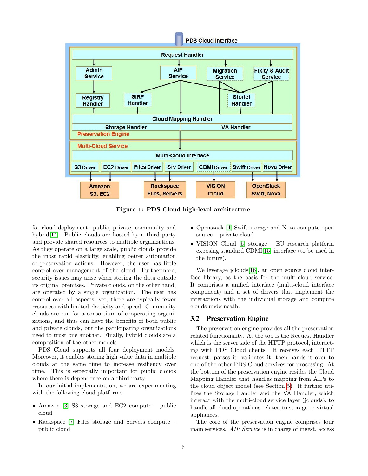

<span id="page-6-0"></span>Figure 1: PDS Cloud high-level architecture

for cloud deployment: public, private, community and hybrid[\[14\]](#page-17-4). Public clouds are hosted by a third party and provide shared resources to multiple organizations. As they operate on a large scale, public clouds provide the most rapid elasticity, enabling better automation of preservation actions. However, the user has little control over management of the cloud. Furthermore, security issues may arise when storing the data outside its original premises. Private clouds, on the other hand, are operated by a single organization. The user has control over all aspects; yet, there are typically fewer resources with limited elasticity and speed. Community clouds are run for a consortium of cooperating organizations, and thus can have the benefits of both public and private clouds, but the participating organizations need to trust one another. Finally, hybrid clouds are a composition of the other models.

PDS Cloud supports all four deployment models. Moreover, it enables storing high value data in multiple clouds at the same time to increase resiliency over time. This is especially important for public clouds where there is dependence on a third party.

In our initial implementation, we are experimenting with the following cloud platforms:

- Amazon [\[3\]](#page-16-2) S3 storage and EC2 compute public cloud
- Rackspace [\[7\]](#page-16-6) Files storage and Servers compute public cloud
- Openstack [\[4\]](#page-16-3) Swift storage and Nova compute open source – private cloud
- VISION Cloud [\[5\]](#page-16-4) storage EU research platform exposing standard CDMI[\[15\]](#page-17-5) interface (to be used in the future).

We leverage jclouds[\[16\]](#page-17-6), an open source cloud interface library, as the basis for the multi-cloud service. It comprises a unified interface (multi-cloud interface component) and a set of drivers that implement the interactions with the individual storage and compute clouds underneath.

#### <span id="page-6-1"></span>3.2 Preservation Engine

The preservation engine provides all the preservation related functionality. At the top is the Request Handler which is the server side of the HTTP protocol, interacting with PDS Cloud clients. It receives each HTTP request, parses it, validates it, then hands it over to one of the other PDS Cloud services for processing. At the bottom of the preservation engine resides the Cloud Mapping Handler that handles mapping from AIPs to the cloud object model (see Section [5\)](#page-9-0). It further utilizes the Storage Handler and the VA Handler, which interact with the multi-cloud service layer (jclouds), to handle all cloud operations related to storage or virtual appliances.

The core of the preservation engine comprises four main services. AIP Service is in charge of ingest, access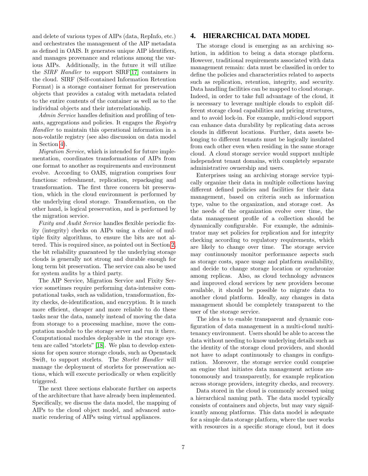and delete of various types of AIPs (data, RepInfo, etc.) and orchestrates the management of the AIP metadata as defined in OAIS. It generates unique AIP identifiers, and manages provenance and relations among the various AIPs. Additionally, in the future it will utilize the SIRF Handler to support SIRF[\[17\]](#page-17-7) containers in the cloud. SIRF (Self-contained Information Retention Format) is a storage container format for preservation objects that provides a catalog with metadata related to the entire contents of the container as well as to the individual objects and their interrelationship.

Admin Service handles definition and profiling of tenants, aggregations and policies. It engages the Registry Handler to maintain this operational information in a non-volatile registry (see also discussion on data model in Section [4\)](#page-7-0).

Migration Service, which is intended for future implementation, coordinates transformations of AIPs from one format to another as requirements and environment evolve. According to OAIS, migration comprises four functions: refreshment, replication, repackaging and transformation. The first three concern bit preservation, which in the cloud environment is performed by the underlying cloud storage. Transformation, on the other hand, is logical preservation, and is performed by the migration service.

Fixity and Audit Service handles flexible periodic fixity (integrity) checks on AIPs using a choice of multiple fixity algorithms, to ensure the bits are not altered. This is required since, as pointed out in Section [2,](#page-2-0) the bit reliability guaranteed by the underlying storage clouds is generally not strong and durable enough for long term bit preservation. The service can also be used for system audits by a third party.

The AIP Service, Migration Service and Fixity Service sometimes require performing data-intensive computational tasks, such as validation, transformation, fixity checks, de-identification, and encryption. It is much more efficient, cheaper and more reliable to do these tasks near the data, namely instead of moving the data from storage to a processing machine, move the computation module to the storage server and run it there. Computational modules deployable in the storage system are called "storlets" [\[18\]](#page-17-8). We plan to develop extensions for open source storage clouds, such as Openstack Swift, to support storlets. The *Storlet Handler* will manage the deployment of storlets for preservation actions, which will execute periodically or when explicitly triggered.

The next three sections elaborate further on aspects of the architecture that have already been implemented. Specifically, we discuss the data model, the mapping of AIPs to the cloud object model, and advanced automatic rendering of AIPs using virtual appliances.

#### <span id="page-7-0"></span>4. HIERARCHICAL DATA MODEL

The storage cloud is emerging as an archiving solution, in addition to being a data storage platform. However, traditional requirements associated with data management remain: data must be classified in order to define the policies and characteristics related to aspects such as replication, retention, integrity, and security. Data handling facilities can be mapped to cloud storage. Indeed, in order to take full advantage of the cloud, it is necessary to leverage multiple clouds to exploit different storage cloud capabilities and pricing structures, and to avoid lock-in. For example, multi-cloud support can enhance data durability by replicating data across clouds in different locations. Further, data assets belonging to different tenants must be logically insulated from each other even when residing in the same storage cloud. A cloud storage service would support multiple independent tenant domains, with completely separate administrative ownership and users.

Enterprises using an archiving storage service typically organize their data in multiple collections having different defined policies and facilities for their data management, based on criteria such as information type, value to the organization, and storage cost. As the needs of the organization evolve over time, the data management profile of a collection should be dynamically configurable. For example, the administrator may set policies for replication and for integrity checking according to regulatory requirements, which are likely to change over time. The storage service may continuously monitor performance aspects such as storage costs, space usage and platform availability, and decide to change storage location or synchronize among replicas. Also, as cloud technology advances and improved cloud services by new providers become available, it should be possible to migrate data to another cloud platform. Ideally, any changes in data management should be completely transparent to the user of the storage service.

The idea is to enable transparent and dynamic configuration of data management in a multi-cloud multitenancy environment. Users should be able to access the data without needing to know underlying details such as the identity of the storage cloud providers, and should not have to adapt continuously to changes in configuration. Moreover, the storage service could comprise an engine that initiates data management actions autonomously and transparently, for example replication across storage providers, integrity checks, and recovery.

Data stored in the cloud is commonly accessed using a hierarchical naming path. The data model typically consists of containers and objects, but may vary significantly among platforms. This data model is adequate for a simple data storage platform, where the user works with resources in a specific storage cloud, but it does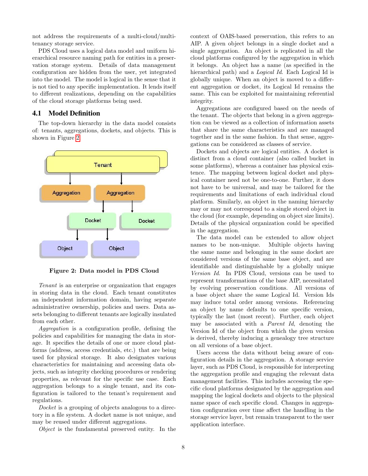not address the requirements of a multi-cloud/multitenancy storage service.

PDS Cloud uses a logical data model and uniform hierarchical resource naming path for entities in a preservation storage system. Details of data management configuration are hidden from the user, yet integrated into the model. The model is logical in the sense that it is not tied to any specific implementation. It lends itself to different realizations, depending on the capabilities of the cloud storage platforms being used.

#### 4.1 Model Definition

The top-down hierarchy in the data model consists of: tenants, aggregations, dockets, and objects. This is shown in Figure [2.](#page-8-0)



<span id="page-8-0"></span>Figure 2: Data model in PDS Cloud

Tenant is an enterprise or organization that engages in storing data in the cloud. Each tenant constitutes an independent information domain, having separate administrative ownership, policies and users. Data assets belonging to different tenants are logically insulated from each other.

Aggregation is a configuration profile, defining the policies and capabilities for managing the data in storage. It specifies the details of one or more cloud platforms (address, access credentials, etc.) that are being used for physical storage. It also designates various characteristics for maintaining and accessing data objects, such as integrity checking procedures or rendering properties, as relevant for the specific use case. Each aggregation belongs to a single tenant, and its configuration is tailored to the tenant's requirement and regulations.

Docket is a grouping of objects analogous to a directory in a file system. A docket name is not unique, and may be reused under different aggregations.

Object is the fundamental preserved entity. In the

context of OAIS-based preservation, this refers to an AIP. A given object belongs in a single docket and a single aggregation. An object is replicated in all the cloud platforms configured by the aggregation in which it belongs. An object has a name (as specified in the hierarchical path) and a *Logical Id.* Each Logical Id is globally unique. When an object is moved to a different aggregation or docket, its Logical Id remains the same. This can be exploited for maintaining referential integrity.

Aggregations are configured based on the needs of the tenant. The objects that belong in a given aggregation can be viewed as a collection of information assets that share the same characteristics and are managed together and in the same fashion. In that sense, aggregations can be considered as classes of service.

Dockets and objects are logical entities. A docket is distinct from a cloud container (also called bucket in some platforms), whereas a container has physical existence. The mapping between logical docket and physical container need not be one-to-one. Further, it does not have to be universal, and may be tailored for the requirements and limitations of each individual cloud platform. Similarly, an object in the naming hierarchy may or may not correspond to a single stored object in the cloud (for example, depending on object size limits). Details of the physical organization could be specified in the aggregation.

The data model can be extended to allow object names to be non-unique. Multiple objects having the same name and belonging in the same docket are considered versions of the same base object, and are identifiable and distinguishable by a globally unique Version Id. In PDS Cloud, versions can be used to represent transformations of the base AIP, necessitated by evolving preservation conditions. All versions of a base object share the same Logical Id. Version Ids may induce total order among versions. Referencing an object by name defaults to one specific version, typically the last (most recent). Further, each object may be associated with a Parent Id, denoting the Version Id of the object from which the given version is derived, thereby inducing a genealogy tree structure on all versions of a base object.

Users access the data without being aware of configuration details in the aggregation. A storage service layer, such as PDS Cloud, is responsible for interpreting the aggregation profile and engaging the relevant data management facilities. This includes accessing the specific cloud platforms designated by the aggregation and mapping the logical dockets and objects to the physical name space of each specific cloud. Changes in aggregation configuration over time affect the handling in the storage service layer, but remain transparent to the user application interface.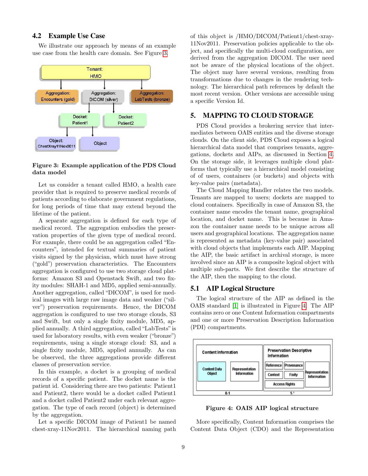#### 4.2 Example Use Case

We illustrate our approach by means of an example use case from the health care domain. See Figure [3.](#page-9-1)



#### <span id="page-9-1"></span>Figure 3: Example application of the PDS Cloud data model

Let us consider a tenant called HMO, a health care provider that is required to preserve medical records of patients according to elaborate government regulations, for long periods of time that may extend beyond the lifetime of the patient.

A separate aggregation is defined for each type of medical record. The aggregation embodies the preservation properties of the given type of medical record. For example, there could be an aggregation called "Encounters", intended for textual summaries of patient visits signed by the physician, which must have strong ("gold") preservation characteristics. The Encounters aggregation is configured to use two storage cloud platforms: Amazon S3 and Openstack Swift, and two fixity modules: SHAH-1 and MD5, applied semi-annually. Another aggregation, called "DICOM", is used for medical images with large raw image data and weaker ("silver") preservation requirements. Hence, the DICOM aggregation is configured to use two storage clouds, S3 and Swift, but only a single fixity module, MD5, applied annually. A third aggregation, called "LabTests"is used for laboratory results, with even weaker ("bronze") requirements, using a single storage cloud: S3, and a single fixity module, MD5, applied annually. As can be observed, the three aggregations provide different classes of preservation service.

In this example, a docket is a grouping of medical records of a specific patient. The docket name is the patient id. Considering there are two patients: Patient1 and Patient2, there would be a docket called Patient1 and a docket called Patient2 under each relevant aggregation. The type of each record (object) is determined by the aggregation.

Let a specific DICOM image of Patient1 be named chest-xray-11Nov2011. The hierarchical naming path of this object is /HMO/DICOM/Patient1/chest-xray-11Nov2011. Preservation policies applicable to the object, and specifically the multi-cloud configuration, are derived from the aggregation DICOM. The user need not be aware of the physical locations of the object. The object may have several versions, resulting from transformations due to changes in the rendering technology. The hierarchical path references by default the most recent version. Other versions are accessible using a specific Version Id.

#### <span id="page-9-0"></span>5. MAPPING TO CLOUD STORAGE

PDS Cloud provides a brokering service that intermediates between OAIS entities and the diverse storage clouds. On the client side, PDS Cloud exposes a logical hierarchical data model that comprises tenants, aggregations, dockets and AIPs, as discussed in Section [4.](#page-7-0) On the storage side, it leverages multiple cloud platforms that typically use a hierarchical model consisting of of users, containers (or buckets) and objects with key-value pairs (metadata).

The Cloud Mapping Handler relates the two models. Tenants are mapped to users; dockets are mapped to cloud containers. Specifically in case of Amazon S3, the container name encodes the tenant name, geographical location, and docket name. This is because in Amazon the container name needs to be unique across all users and geographical locations. The aggregation name is represented as metadata (key-value pair) associated with cloud objects that implements each AIP. Mapping the AIP, the basic artifact in archival storage, is more involved since an AIP is a composite logical object with multiple sub-parts. We first describe the structure of the AIP, then the mapping to the cloud.

#### 5.1 AIP Logical Structure

The logical structure of the AIP as defined in the OAIS standard [\[1\]](#page-16-0) is illustrated in Figure [4.](#page-9-2) The AIP contains zero or one Content Information compartments and one or more Preservation Description Information (PDI) compartments.



<span id="page-9-2"></span>Figure 4: OAIS AIP logical structure

More specifically, Content Information comprises the Content Data Object (CDO) and the Representation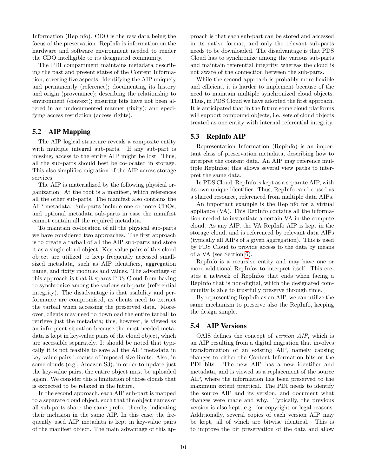Information (RepInfo). CDO is the raw data being the focus of the preservation. RepInfo is information on the hardware and software environment needed to render the CDO intelligible to its designated community.

The PDI compartment maintains metadata describing the past and present states of the Content Information, covering five aspects: Identifying the AIP uniquely and permanently (reference); documenting its history and origin (provenance); describing the relationship to environment (context); ensuring bits have not been altered in an undocumented manner (fixity); and specifying access restriction (access rights).

#### 5.2 AIP Mapping

The AIP logical structure reveals a composite entity with multiple integral sub-parts. If any sub-part is missing, access to the entire AIP might be lost. Thus, all the sub-parts should best be co-located in storage. This also simplifies migration of the AIP across storage services.

The AIP is materialized by the following physical organization. At the root is a manifest, which references all the other sub-parts. The manifest also contains the AIP metadata. Sub-parts include one or more CDOs, and optional metadata sub-parts in case the manifest cannot contain all the required metadata.

To maintain co-location of all the physical sub-parts we have considered two approaches. The first approach is to create a tarball of all the AIP sub-parts and store it as a single cloud object. Key-value pairs of this cloud object are utilized to keep frequently accessed smallsized metadata, such as AIP identifiers, aggregation name, and fixity modules and values. The advantage of this approach is that it spares PDS Cloud from having to synchronize among the various sub-parts (referential integrity). The disadvantage is that usability and performance are compromised, as clients need to extract the tarball when accessing the preserved data. Moreover, clients may need to download the entire tarball to retrieve just the metadata; this, however, is viewed as an infrequent situation because the most needed metadata is kept in key-value pairs of the cloud object, which are accessible separately. It should be noted that typically it is not feasible to save all the AIP metadata in key-value pairs because of imposed size limits. Also, in some clouds (e.g., Amazon S3), in order to update just the key-value pairs, the entire object must be uploaded again. We consider this a limitation of those clouds that is expected to be relaxed in the future.

In the second approach, each AIP sub-part is mapped to a separate cloud object, such that the object names of all sub-parts share the same prefix, thereby indicating their inclusion in the same AIP. In this case, the frequently used AIP metadata is kept in key-value pairs of the manifest object. The main advantage of this approach is that each sub-part can be stored and accessed in its native format, and only the relevant sub-parts needs to be downloaded. The disadvantage is that PDS Cloud has to synchronize among the various sub-parts and maintain referential integrity, whereas the cloud is not aware of the connection between the sub-parts.

While the second approach is probably more flexible and efficient, it is harder to implement because of the need to maintain multiple synchronized cloud objects. Thus, in PDS Cloud we have adopted the first approach. It is anticipated that in the future some cloud platforms will support compound objects, i.e. sets of cloud objects treated as one entity with internal referential integrity.

#### 5.3 RepInfo AIP

Representation Information (RepInfo) is an important class of preservation metadata, describing how to interpret the content data. An AIP may reference multiple RepInfos; this allows several view paths to interpret the same data.

In PDS Cloud, RepInfo is kept as a separate AIP, with its own unique identifier. Thus, RepInfo can be used as a shared resource, referenced from multiple data AIPs.

An important example is the RepInfo for a virtual appliance (VA). This RepInfo contains all the information needed to instantiate a certain VA in the compute cloud. As any AIP, the VA RepInfo AIP is kept in the storage cloud, and is referenced by relevant data AIPs (typically all AIPs of a given aggregation). This is used by PDS Cloud to provide access to the data by means of a VA (see Section [6\)](#page-11-0).

RepInfo is a recursive entity and may have one or more additional RepInfos to interpret itself. This creates a network of RepInfos that ends when facing a RepInfo that is non-digital, which the designated community is able to trustfully preserve through time.

By representing RepInfo as an AIP, we can utilize the same mechanism to preserve also the RepInfo, keeping the design simple.

#### 5.4 AIP Versions

OAIS defines the concept of version AIP, which is an AIP resulting from a digital migration that involves transformation of an existing AIP, namely causing changes to either the Content Information bits or the PDI bits. The new AIP has a new identifier and metadata, and is viewed as a replacement of the source AIP, where the information has been preserved to the maximum extent practical. The PDI needs to identify the source AIP and its version, and document what changes were made and why. Typically, the previous version is also kept, e.g. for copyright or legal reasons. Additionally, several copies of each version AIP may be kept, all of which are bitwise identical. This is to improve the bit preservation of the data and allow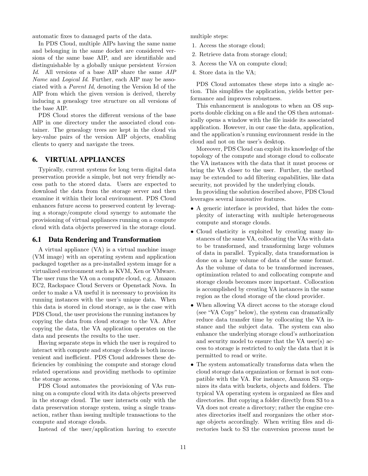automatic fixes to damaged parts of the data.

In PDS Cloud, multiple AIPs having the same name and belonging in the same docket are considered versions of the same base AIP, and are identifiable and distinguishable by a globally unique persistent Version Id. All versions of a base AIP share the same AIP Name and *Logical Id.* Further, each AIP may be associated with a Parent Id, denoting the Version Id of the AIP from which the given version is derived, thereby inducing a genealogy tree structure on all versions of the base AIP.

PDS Cloud stores the different versions of the base AIP in one directory under the associated cloud container. The genealogy trees are kept in the cloud via key-value pairs of the version AIP objects, enabling clients to query and navigate the trees.

#### <span id="page-11-0"></span>6. VIRTUAL APPLIANCES

Typically, current systems for long term digital data preservation provide a simple, but not very friendly access path to the stored data. Users are expected to download the data from the storage server and then examine it within their local environment. PDS Cloud enhances future access to preserved content by leveraging a storage/compute cloud synergy to automate the provisioning of virtual appliances running on a compute cloud with data objects preserved in the storage cloud.

#### 6.1 Data Rendering and Transformation

A virtual appliance (VA) is a virtual machine image (VM image) with an operating system and application packaged together as a pre-installed system image for a virtualized environment such as KVM, Xen or VMware. The user runs the VA on a compute cloud, e.g. Amazon EC2, Rackspace Cloud Servers or Openstack Nova. In order to make a VA useful it is necessary to provision its running instances with the user's unique data. When this data is stored in cloud storage, as is the case with PDS Cloud, the user provisions the running instances by copying the data from cloud storage to the VA. After copying the data, the VA application operates on the data and presents the results to the user.

Having separate steps in which the user is required to interact with compute and storage clouds is both inconvenient and inefficient. PDS Cloud addresses these deficiencies by combining the compute and storage cloud related operations and providing methods to optimize the storage access.

PDS Cloud automates the provisioning of VAs running on a compute cloud with its data objects preserved in the storage cloud. The user interacts only with the data preservation storage system, using a single transaction, rather than issuing multiple transactions to the compute and storage clouds.

Instead of the user/application having to execute

multiple steps:

- 1. Access the storage cloud;
- 2. Retrieve data from storage cloud;
- 3. Access the VA on compute cloud;
- 4. Store data in the VA;

PDS Cloud automates these steps into a single action. This simplifies the application, yields better performance and improves robustness.

This enhancement is analogous to when an OS supports double clicking on a file and the OS then automatically opens a window with the file inside its associated application. However, in our case the data, application, and the application's running environment reside in the cloud and not on the user's desktop.

Moreover, PDS Cloud can exploit its knowledge of the topology of the compute and storage cloud to collocate the VA instances with the data that it must process or bring the VA closer to the user. Further, the method may be extended to add filtering capabilities, like data security, not provided by the underlying clouds.

In providing the solution described above, PDS Cloud leverages several innovative features.

- A generic interface is provided, that hides the complexity of interacting with multiple heterogeneous compute and storage clouds.
- Cloud elasticity is exploited by creating many instances of the same VA, collocating the VAs with data to be transformed, and transforming large volumes of data in parallel. Typically, data transformation is done on a large volume of data of the same format. As the volume of data to be transformed increases, optimization related to and collocating compute and storage clouds becomes more important. Collocation is accomplished by creating VA instances in the same region as the cloud storage of the cloud provider.
- When allowing VA direct access to the storage cloud (see "VA Copy" below), the system can dramatically reduce data transfer time by collocating the VA instance and the subject data. The system can also enhance the underlying storage cloud's authorization and security model to ensure that the VA user(s) access to storage is restricted to only the data that it is permitted to read or write.
- The system automatically transforms data when the cloud storage data organization or format is not compatible with the VA. For instance, Amazon S3 organizes its data with buckets, objects and folders. The typical VA operating system is organized as files and directories. But copying a folder directly from S3 to a VA does not create a directory; rather the engine creates directories itself and reorganizes the other storage objects accordingly. When writing files and directories back to S3 the conversion process must be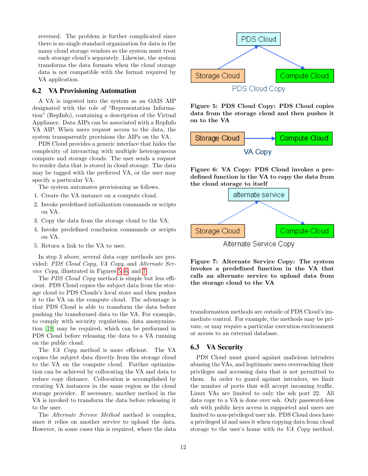reversed. The problem is further complicated since there is no single standard organization for data in the many cloud storage vendors so the system must treat each storage cloud's separately. Likewise, the system transforms the data formats when the cloud storage data is not compatible with the format required by VA application.

#### 6.2 VA Provisioning Automation

A VA is ingested into the system as an OAIS AIP designated with the role of "Representation Information" (RepInfo), containing a description of the Virtual Appliance. Data AIPs can be associated with a RepInfo VA AIP. When users request access to the data, the system transparently provisions the AIPs on the VA.

PDS Cloud provides a generic interface that hides the complexity of interacting with multiple heterogeneous compute and storage clouds. The user sends a request to render data that is stored in cloud storage. The data may be tagged with the preferred VA, or the user may specify a particular VA.

The system automates provisioning as follows.

- 1. Create the VA instance on a compute cloud.
- 2. Invoke predefined initialization commands or scripts on VA.
- 3. Copy the data from the storage cloud to the VA.
- 4. Invoke predefined conclusion commands or scripts on VA.
- 5. Return a link to the VA to user.

In step 3 above, several data copy methods are provided: PDS Cloud Copy, VA Copy, and Alternate Service Copy, illustrated in Figures [5,](#page-12-0) [6,](#page-12-1) and [7.](#page-12-2)

The *PDS Cloud Copy* method is simple but less efficient. PDS Cloud copies the subject data from the storage cloud to PDS Clouds's local store and then pushes it to the VA on the compute cloud. The advantage is that PDS Cloud is able to transform the data before pushing the transformed data to the VA. For example, to comply with security regulations, data anonymization [\[19\]](#page-17-9) may be required, which can be performed in PDS Cloud before releasing the data to a VA running on the public cloud.

The VA Copy method is more efficient. The VA copies the subject data directly from the storage cloud to the VA on the compute cloud. Further optimization can be achieved by collocating the VA and data to reduce copy distance. Collocation is accomplished by creating VA instances in the same region as the cloud storage provider. If necessary, another method in the VA is invoked to transform the data before releasing it to the user.

The Alternate Service Method method is complex, since it relies on another service to upload the data. However, in some cases this is required, where the data



<span id="page-12-0"></span>Figure 5: PDS Cloud Copy: PDS Cloud copies data from the storage cloud and then pushes it on to the VA



<span id="page-12-1"></span>Figure 6: VA Copy: PDS Cloud invokes a predefined function in the VA to copy the data from the cloud storage to itself



<span id="page-12-2"></span>Figure 7: Alternate Service Copy: The system invokes a predefined function in the VA that calls an alternate service to upload data from the storage cloud to the VA

transformation methods are outside of PDS Cloud's immediate control. For example, the methods may be private, or may require a particular execution environment or access to an external database.

#### 6.3 VA Security

PDS Cloud must guard against malicious intruders abusing the VAs, and legitimate users overreaching their privileges and accessing data that is not permitted to them. In order to guard against intruders, we limit the number of ports that will accept incoming traffic. Linux VAs are limited to only the ssh port 22. All data copy to a VA is done over ssh. Only password-less ssh with public keys access is supported and users are limited to non-privileged user ids. PDS Cloud does have a privileged id and uses it when copying data from cloud storage to the user's home with its VA Copy method.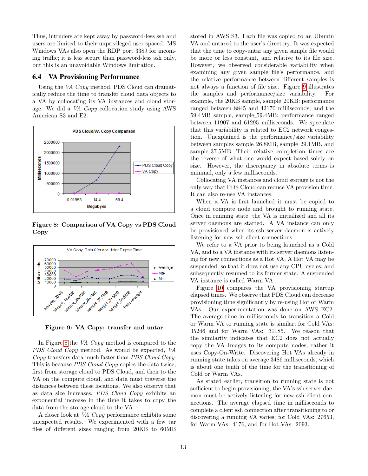Thus, intruders are kept away by password-less ssh and users are limited to their unprivileged user spaced. MS Windows VAs also open the RDP port 3389 for incoming traffic; it is less secure than password-less ssh only, but this is an unavoidable Windows limitation.

#### 6.4 VA Provisioning Performance

Using the VA Copy method, PDS Cloud can dramatically reduce the time to transfer cloud data objects to a VA by collocating its VA instances and cloud storage. We did a VA Copy collocation study using AWS American S3 and E2.



<span id="page-13-0"></span>Figure 8: Comparison of VA Copy vs PDS Cloud Copy



<span id="page-13-1"></span>Figure 9: VA Copy: transfer and untar

In Figure [8](#page-13-0) the VA Copy method is compared to the PDS Cloud Copy method. As would be expected, VA Copy transfers data much faster than PDS Cloud Copy. This is because *PDS Cloud Copy* copies the data twice, first from storage cloud to PDS Cloud, and then to the VA on the compute cloud, and data must traverse the distances between these locations. We also observe that as data size increases, PDS Cloud Copy exhibits an exponential increase in the time it takes to copy the data from the storage cloud to the VA.

A closer look at VA Copy performance exhibits some unexpected results. We experimented with a few tar files of different sizes ranging from 20KB to 60MB stored in AWS S3. Each file was copied to an Ubuntu VA and untared to the user's directory. It was expected that the time to copy-untar any given sample file would be more or less constant, and relative to its file size. However, we observed considerable variability when examining any given sample file's performance, and the relative performance between different samples is not always a function of file size. Figure [9](#page-13-1) illustrates the samples and performance/size variability. For example, the 20KB sample, sample 20KB: performance ranged between 8845 and 42170 milliseconds; and the 59.4MB sample, sample 59.4MB: performance ranged between 11907 and 61295 milliseconds. We speculate that this variability is related to EC2 network congestion. Unexplained is the performance/size variability between samples sample 26.8MB, sample 29.1MB, and sample 37.5MB. Their relative completion times are the reverse of what one would expect based solely on size. However, the discrepancy in absolute terms is minimal, only a few milliseconds.

Collocating VA instances and cloud storage is not the only way that PDS Cloud can reduce VA provision time. It can also re-use VA instances.

When a VA is first launched it must be copied to a cloud compute node and brought to running state. Once in running state, the VA is initialized and all its server daemons are started. A VA instance can only be provisioned when its ssh server daemon is actively listening for new ssh client connections.

We refer to a VA prior to being launched as a Cold VA, and to a VA instance with its server daemons listening for new connections as a Hot VA. A Hot VA may be suspended, so that it does not use any CPU cycles, and subsequently resumed to its former state. A suspended VA instance is called Warm VA.

Figure [10](#page-14-2) compares the VA provisioning startup elapsed times. We observe that PDS Cloud can decrease provisioning time significantly by re-using Hot or Warm VAs. Our experimentation was done on AWS EC2. The average time in milliseconds to transition a Cold or Warm VA to running state is similar; for Cold VAs: 35246 and for Warm VAs: 31185. We reason that the similarity indicates that EC2 does not actually copy the VA Images to its compute nodes, rather it uses Copy-On-Write. Discovering Hot VAs already in running state takes on average 3486 milliseconds, which is about one tenth of the time for the transitioning of Cold or Warm VAs.

As stated earlier, transition to running state is not sufficient to begin provisioning, the VA's ssh server daemon must be actively listening for new ssh client connections. The average elapsed time in milliseconds to complete a client ssh connection after transitioning to or discovering a running VA varies; for Cold VAs: 27653, for Warm VAs: 4176, and for Hot VAs: 2093.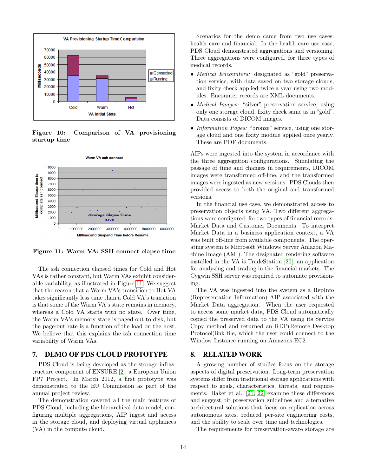

<span id="page-14-2"></span>Figure 10: Comparison of VA provisioning startup time



<span id="page-14-3"></span>Figure 11: Warm VA: SSH connect elapse time

The ssh connection elapsed times for Cold and Hot VAs is rather constant, but Warm VAs exhibit considerable variability, as illustrated in Figure [11.](#page-14-3) We suggest that the reason that a Warm VA's transition to Hot VA takes significantly less time than a Cold VA's transition is that some of the Warm VA's state remains in memory, whereas a Cold VA starts with no state. Over time, the Warm VA's memory state is paged out to disk, but the page-out rate is a function of the load on the host. We believe that this explains the ssh connection time variability of Warm VAs.

#### <span id="page-14-0"></span>7. DEMO OF PDS CLOUD PROTOTYPE

PDS Cloud is being developed as the storage infrastructure component of ENSURE [\[2\]](#page-16-1), a European Union FP7 Project. In March 2012, a first prototype was demonstrated to the EU Commission as part of the annual project review.

The demonstration covered all the main features of PDS Cloud, including the hierarchical data model, configuring multiple aggregations, AIP ingest and access in the storage cloud, and deploying virtual appliances (VA) in the compute cloud.

Scenarios for the demo came from two use cases: health care and financial. In the health care use case, PDS Cloud demonstrated aggregations and versioning. Three aggregations were configured, for three types of medical records.

- *Medical Encounters:* designated as "gold" preservation service, with data saved on two storage clouds, and fixity check applied twice a year using two modules. Encounter records are XML documents.
- *Medical Images:* "silver" preservation service, using only one storage cloud, fixity check same as in "gold". Data consists of DICOM images.
- *Information Pages:* "bronze" service, using one storage cloud and one fixity module applied once yearly. These are PDF documents.

AIPs were ingested into the system in accordance with the three aggregation configurations. Simulating the passage of time and changes in requirements, DICOM images were transformed off-line, and the transformed images were ingested as new versions. PDS Clouds then provided access to both the original and transformed versions.

In the financial use case, we demonstrated access to preservation objects using VA. Two different aggregations were configured, for two types of financial records: Market Data and Customer Documents. To interpret Market Data in a business application context, a VA was built off-line from available components. The operating system is Microsoft Windows Server Amazon Machine Image (AMI). The designated rendering software installed in the VA is TradeStation [\[20\]](#page-17-10), an application for analyzing and trading in the financial markets. The Cygwin SSH server was required to automate provisioning.

The VA was ingested into the system as a RepInfo (Representation Information) AIP associated with the Market Data aggregation. When the user requested to access some market data, PDS Cloud automatically copied the preserved data to the VA using its Service Copy method and returned an RDP(Remote Desktop Protocol)link file, which the user could connect to the Window Instance running on Amazons EC2.

#### <span id="page-14-1"></span>8. RELATED WORK

A growing number of studies focus on the storage aspects of digital preservation. Long-term preservation systems differ from traditional storage applications with respect to goals, characteristics, threats, and requirements. Baker et al. [\[21,](#page-17-11) [22\]](#page-17-12) examine these differences and suggest bit preservation guidelines and alternative architectural solutions that focus on replication across autonomous sites, reduced per-site engineering costs, and the ability to scale over time and technologies.

The requirements for preservation-aware storage are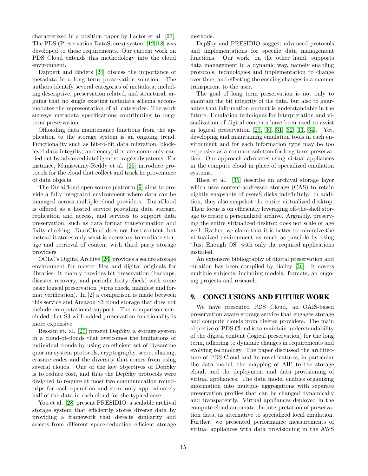characterized in a position paper by Factor et al. [\[23\]](#page-17-13). The PDS (Preservation DataStores) system [\[12,](#page-17-2) [18\]](#page-17-8) was developed to these requirements. Our current work on PDS Cloud extends this methodology into the cloud environment.

Dappert and Enders [\[24\]](#page-17-14) discuss the importance of metadata in a long term preservation solution. The authors identify several categories of metadata, including descriptive, preservation related, and structural, arguing that no single existing metadata schema accommodates the representation of all categories. The work surveys metadata specifications contributing to longterm preservation.

Offloading data maintenance functions from the application to the storage system is an ongoing trend. Functionality such as bit-to-bit data migration, blocklevel data integrity, and encryption are commonly carried out by advanced intelligent storage subsystems. For instance, Muniswamy-Reddy et al. [\[25\]](#page-17-15) introduce protocols for the cloud that collect and track he provenance of data objects.

The DuraCloud open source platform [\[9\]](#page-16-8) aims to provide a fully integrated environment where data can be managed across multiple cloud providers. DuraCloud is offered as a hosted service providing data storage, replication and access, and services to support data preservation, such as data format transformation and fixity checking. DuraCloud does not host content, but instead it stores only what is necessary to mediate storage and retrieval of content with third party storage providers.

OCLC's Digital Archive [\[26\]](#page-17-16) provides a secure storage environment for master files and digital originals for libraries. It mainly provides bit preservation (backups, disaster recovery, and periodic fixity check) with some basic logical preservation (virus check, manifest and format verification). In [2] a comparison is made between this service and Amazon S3 cloud storage that does not include computational support. The comparison concluded that S3 with added preservation functionality is more expensive.

Bessani et. al. [\[27\]](#page-17-17) present DepSky, a storage system in a cloud-of-clouds that overcomes the limitations of individual clouds by using an efficient set of Byzantine quorum system protocols, cryptography, secret sharing, erasure codes and the diversity that comes from using several clouds. One of the key objectives of DepSky is to reduce cost, and thus the DepSky protocols were designed to require at most two communication roundtrips for each operation and store only approximately half of the data in each cloud for the typical case.

You et al. [\[28\]](#page-18-0) present PRESIDIO, a scalable archival storage system that efficiently stores diverse data by providing a framework that detects similarity and selects from different space-reduction efficient storage methods.

DepSky and PRESIDIO suggest advanced protocols and implementations for specific data management functions. Our work, on the other hand, supports data management in a dynamic way, namely enabling protocols, technologies and implementation to change over time, and effecting the ensuing changes in a manner transparent to the user.

The goal of long term preservation is not only to maintain the bit integrity of the data, but also to guarantee that information content is understandable in the future. Emulation techniques for interpretation and visualization of digital contents have been used to assist in logical preservation [\[29,](#page-18-1) [30,](#page-18-2) [31,](#page-18-3) [32,](#page-18-4) [33,](#page-18-5) [34\]](#page-18-6). Yet, developing and maintaining emulation tools in each environment and for each information type may be too expensive as a common solution for long term preservation. Our approach advocates using virtual appliances in the compute cloud in place of specialized emulation systems.

Rhea et al. [\[35\]](#page-18-7) describe an archival storage layer which uses content-addressed storage (CAS) to retain nightly snapshots of users $\check{S}$  disks indefinitely. In addition, they also snapshot the entire virtualized desktop. Their focus is on efficiently leveraging off-the-shelf storage to create a personalized archive. Arguably, preserving the entire virtualized desktop does not scale or age well. Rather, we claim that it is better to minimize the virtualized environment as much as possible by using "Just Enough OS" with only the required applications installed.

An extensive bibliography of digital preservation and curation has been compiled by Bailey [\[36\]](#page-18-8). It covers multiple subjects, including models. formats, an ongoing projects and research.

#### <span id="page-15-0"></span>9. CONCLUSIONS AND FUTURE WORK

We have presented PDS Cloud, an OAIS-based preservation aware storage service that engages storage and compute clouds from diverse providers. The main objective of PDS Cloud is to maintain understandability of the digital content (logical preservation) for the long term, adhering to dynamic changes in requirements and evolving technology. The paper discussed the architecture of PDS Cloud and its novel features, in particular the data model, the mapping of AIP to the storage cloud, and the deployment and data provisioning of virtual appliances. The data model enables organizing information into multiple aggregations with separate preservation profiles that can be changed dynamically and transparently. Virtual appliances deployed in the compute cloud automate the interpretation of preservation data, as alternative to specialized local emulation. Further, we presented performance measurements of virtual appliances with data provisioning in the AWS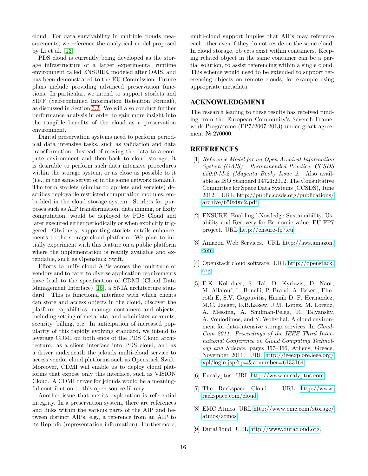cloud. For data survivability in multiple clouds measurements, we reference the analytical model proposed by Li et al. [\[13\]](#page-17-3).

PDS cloud is currently being developed as the storage infrastructure of a larger experimental runtime environment called ENSURE, modeled after OAIS, and has been demonstrated to the EU Commission. Future plans include providing advanced preservation functions. In particular, we intend to support storlets and SIRF (Self-contained Information Retention Format), as discussed in Section [3.2.](#page-6-1) We will also conduct further performance analysis in order to gain more insight into the tangible benefits of the cloud as a preservation environment.

Digital preservation systems need to perform periodical data intensive tasks, such as validation and data transformation. Instead of moving the data to a compute environment and then back to cloud storage, it is desirable to perform such data intensive procedures within the storage system, or as close as possible to it (i.e., in the same server or in the same network domain). The term storlets (similar to applets and servlets) describes deployable restricted computation modules, embedded in the cloud storage system. Storlets for purposes such as AIP transformation, data mining, or fixity computation, would be deployed by PDS Cloud and later executed either periodically or when explicitly triggered. Obviously, supporting storlets entails enhancements to the storage cloud platform. We plan to initially experiment with this feature on a public platform where the implementation is readily available and extendable, such as Openstack Swift.

Efforts to unify cloud APIs across the multitude of vendors and to cater to diverse application requirements have lead to the specification of CDMI (Cloud Data Management Interface) [\[15\]](#page-17-5), a SNIA architecture standard. This is functional interface with which clients can store and access objects in the cloud, discover the platform capabilities, manage containers and objects, including setting of metadata, and administer accounts, security, billing, etc. In anticipation of increased popularity of this rapidly evolving standard, we intend to leverage CDMI on both ends of the PDS Cloud architecture: as a client interface into PDS cloud, and as a driver underneath the jclouds multi-cloud service to access vendor cloud platforms such as Openstack Swift. Moreover, CDMI will enable us to deploy cloud platforms that expose only this interface, such as VISION Cloud. A CDMI driver for jclouds would be a meaningful contribution to this open source library.

Another issue that merits exploration is referential integrity. In a preservation system, there are references and links within the various parts of the AIP and between distinct AIPs, e.g., a reference from an AIP to its RepInfo (representation information). Furthermore, multi-cloud support implies that AIPs may reference each other even if they do not reside on the same cloud. In cloud storage, objects exist within containers. Keeping related object in the same container can be a partial solution, to assist referencing within a single cloud. This scheme would need to be extended to support referencing objects on remote clouds, for example using appropriate metadata.

#### ACKNOWLEDGMENT

The research leading to these results has received funding from the European Community's Seventh Framework Programme (FP7/2007-2013) under grant agreement № 270000.

#### **REFERENCES**

- <span id="page-16-0"></span>[1] Reference Model for an Open Archival Information System (OAIS) - Recommended Practice, CCSDS 650.0-M-2 (Magenta Book) Issue 2. Also available as ISO Standard 14721:2012. The Consultative Committee for Space Data Systems (CCSDS), June 2012. URL [http://public.ccsds.org/publications/](http://public.ccsds.org/publications/archive/650x0m2.pdf) [archive/650x0m2.pdf.](http://public.ccsds.org/publications/archive/650x0m2.pdf)
- <span id="page-16-1"></span>[2] ENSURE: Enabling kNowledge Sustainability, Usability and Recovery for Economic value, EU FP7 project. URL [http://ensure-fp7.eu.](http://ensure-fp7.eu)
- <span id="page-16-2"></span>[3] Amazon Web Services. URL [http://aws.amazon.](http://aws.amazon.com) [com.](http://aws.amazon.com)
- <span id="page-16-3"></span>[4] Openstack cloud software. URL [http://openstack.](http://openstack.org) [org.](http://openstack.org)
- <span id="page-16-4"></span>[5] E.K. Kolodner, S. Tal, D. Kyriazis, D. Naor, M. Allalouf, L. Bonelli, P. Brand, A. Eckert, Elmroth E, S.V. Gogouvitis, Harnik D, F. Hernandez, M.C. Jaeger, E.B.Lakew, J.M. Lopez, M. Lorenz, A. Messina, A. Shulman-Peleg, R. Talyansky, A. Voulodimos, and Y. Wolfsthal. A cloud environment for data-intensive storage services. In *Cloud-*Com 2011: Proceedings of the IEEE Third International Conference on Cloud Computing Technology and Science, pages 357–366, Athens, Greece, November 2011. URL [http://ieeexplore.ieee.org/](http://ieeexplore.ieee.org/xpl/login.jsp?tp=&arnumber=6133164) [xpl/login.jsp?tp=&arnumber=6133164.](http://ieeexplore.ieee.org/xpl/login.jsp?tp=&arnumber=6133164)
- <span id="page-16-5"></span>[6] Eucalyptus. URL [http://www.eucalyptus.com.](http://www.eucalyptus.com)
- <span id="page-16-6"></span>[7] The Rackspace Cloud. URL [http://www.](http://www.rackspace.com/cloud) [rackspace.com/cloud.](http://www.rackspace.com/cloud)
- <span id="page-16-7"></span>[8] EMC Atmos. URL [http://www.emc.com/storage/](http://www.emc.com/storage/atmos/atmos) [atmos/atmos.](http://www.emc.com/storage/atmos/atmos)
- <span id="page-16-8"></span>[9] DuraCloud. URL [http://www.duracloud.org.](http://www.duracloud.org)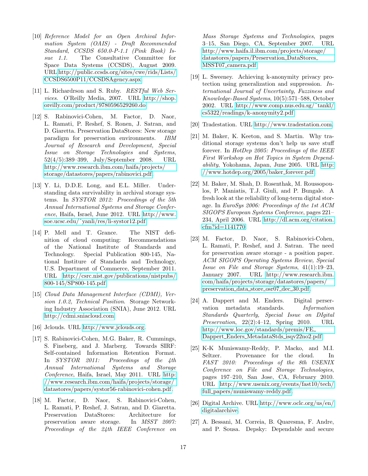- <span id="page-17-0"></span>[10] Reference Model for an Open Archival Information System (OAIS) - Draft Recommended Standard, CCSDS 650.0-P-1.1 (Pink Book) Issue 1.1. The Consultative Committee for Space Data Systems (CCSDS), August 2009. URL [http://public.ccsds.org/sites/cwe/rids/Lists/](http://public.ccsds.org/sites/cwe/rids/Lists/CCSDS 6500P11/CCSDSAgency.aspx) [CCSDS6500P11/CCSDSAgency.aspx.](http://public.ccsds.org/sites/cwe/rids/Lists/CCSDS 6500P11/CCSDSAgency.aspx)
- <span id="page-17-1"></span>[11] L. Richardrson and S. Ruby. RESTful Web Services. O'Reilly Media, 2007. URL [http://shop.](http://shop.oreilly.com/product/9780596529260.do) [oreilly.com/product/9780596529260.do.](http://shop.oreilly.com/product/9780596529260.do)
- <span id="page-17-2"></span>[12] S. Rabinovici-Cohen, M. Factor, D. Naor, L. Ramati, P. Reshef, S. Ronen, J. Satran, and D. Giaretta. Preservation DataStores: New storage paradigm for preservation environments. IBM Journal of Research and Development, Special Issue on Storage Technologies and Systems, 52(4/5):389–399, July/September 2008. URL [http://www.research.ibm.com/haifa/projects/](http://www.research.ibm.com/haifa/projects/storage/datastores/papers/rabinovici.pdf) [storage/datastores/papers/rabinovici.pdf.](http://www.research.ibm.com/haifa/projects/storage/datastores/papers/rabinovici.pdf)
- <span id="page-17-3"></span>[13] Y. Li, D.D.E. Long, and E.L. Miller. Understanding data survivability in archival storage systems. In SYSTOR 2012: Proceedings of the 5th Annual International Systems and Storage Conference, Haifa, Israel, June 2012. URL [http://www.](http://www.soe.ucsc.edu/~yanli/res/li-systor12.pdf) [soe.ucsc.edu/˜yanli/res/li-systor12.pdf.](http://www.soe.ucsc.edu/~yanli/res/li-systor12.pdf)
- <span id="page-17-4"></span>[14] P. Mell and T. Grance. The NIST definition of cloud computing: Recommendations of the National Institute of Standards and Technology. Special Publication 800-145, National Institure of Standards and Technology, U.S. Department of Commerce, September 2011. URL [http://csrc.nist.gov/publications/nistpubs/](http://csrc.nist.gov/publications/nistpubs/800-145/SP800-145.pdf) [800-145/SP800-145.pdf.](http://csrc.nist.gov/publications/nistpubs/800-145/SP800-145.pdf)
- <span id="page-17-5"></span>[15] Cloud Data Management Interface (CDMI), Version 1.0.2, Technical Position. Storage Networking Industry Association (SNIA), June 2012. URL [http://cdmi.sniacloud.com.](http://cdmi.sniacloud.com)
- <span id="page-17-6"></span>[16] Jclouds. URL [http://www.jclouds.org.](http://www.jclouds.org)
- <span id="page-17-7"></span>[17] S. Rabinovici-Cohen, M.G. Baker, R. Cummings, S. Fineberg, and J. Marberg. Towards SIRF: Self-contained Information Retention Format. In SYSTOR 2011: Proceedings of the 4th Annual International Systems and Storage Conference, Haifa, Israel, May 2011. URL [http:](http://www.research.ibm.com/haifa/projects/storage/datastores/papers/systor56-rabinovici-cohen.pdf) [//www.research.ibm.com/haifa/projects/storage/](http://www.research.ibm.com/haifa/projects/storage/datastores/papers/systor56-rabinovici-cohen.pdf) [datastores/papers/systor56-rabinovici-cohen.pdf.](http://www.research.ibm.com/haifa/projects/storage/datastores/papers/systor56-rabinovici-cohen.pdf)
- <span id="page-17-8"></span>[18] M. Factor, D. Naor, S. Rabinovici-Cohen, L. Ramati, P. Reshef, J. Satran, and D. Giaretta. Preservation DataStores: Architecture for preservation aware storage. In MSST 2007: Proceedings of the 24th IEEE Conference on

Mass Storage Systems and Technologies, pages 3–15, San Diego, CA, September 2007. URL [http://www.haifa.il.ibm.com/projects/storage/](http://www.haifa.il.ibm.com/projects/storage/datastores/papers/Preservation_DataStores_MSST07_camera.pdf) [datastores/papers/Preservation](http://www.haifa.il.ibm.com/projects/storage/datastores/papers/Preservation_DataStores_MSST07_camera.pdf) DataStores MSST07 [camera.pdf.](http://www.haifa.il.ibm.com/projects/storage/datastores/papers/Preservation_DataStores_MSST07_camera.pdf)

- <span id="page-17-9"></span>[19] L. Sweeney. Achieving k-anonymity privacy protection using generalization and suppression. International Journal of Uncertainty, Fuzziness and Knowledge-Based Systems, 10(5):571–588, October 2002. URL [http://www.comp.nus.edu.sg/˜tankl/](http://www.comp.nus.edu.sg/~tankl/cs5322/readings/k-anonymity2.pdf) [cs5322/readings/k-anonymity2.pdf.](http://www.comp.nus.edu.sg/~tankl/cs5322/readings/k-anonymity2.pdf)
- <span id="page-17-10"></span>[20] Tradestation. URL [http://www.tradestation.com.](http://www.tradestation.com)
- <span id="page-17-11"></span>[21] M. Baker, K. Keeton, and S. Martin. Why traditional storage systems don't help us save stuff forever. In HotDep 2005: Proceedings of the IEEE First Workshop on Hot Topics in System Dependability, Yokohama, Japan, June 2005. URL [http:](http://www.hotdep.org/2005/baker_forever.pdf) [//www.hotdep.org/2005/baker](http://www.hotdep.org/2005/baker_forever.pdf)\_forever.pdf.
- <span id="page-17-12"></span>[22] M. Baker, M. Shah, D. Rosenthak, M. Roussopoulos, P. Maniatis, T.J. Giuli, and P. Bungale. A fresh look at the reliability of long-term digital storage. In EuroSys 2006: Proceedings of the 1st ACM SIGOPS European Systems Conference, pages 221– 234, April 2006. URL [http://dl.acm.org/citation.](http://dl.acm.org/citation.cfm?id=1141770) [cfm?id=1141770.](http://dl.acm.org/citation.cfm?id=1141770)
- <span id="page-17-13"></span>[23] M. Factor, D. Naor, S. Rabinovici-Cohen, L. Ramati, P. Reshef, and J. Satran. The need for preservation aware storage - a position paper. ACM SIGOPS Operating Systems Review, Special Issue on File and Storage Systems, 41(1):19–23, January 2007. URL [http://www.research.ibm.](http://www.research.ibm.com/haifa/projects/storage/datastores/papers/preservation_data_store_osr07_dec_30.pdf) [com/haifa/projects/storage/datastores/papers/](http://www.research.ibm.com/haifa/projects/storage/datastores/papers/preservation_data_store_osr07_dec_30.pdf) [preservation](http://www.research.ibm.com/haifa/projects/storage/datastores/papers/preservation_data_store_osr07_dec_30.pdf) data store osr07 dec 30.pdf.
- <span id="page-17-14"></span>[24] A. Dappert and M. Enders. Digital perservation metadata standards. Information Standards Quarterly, Special Issue on DIgital Preservation, 22(2):4–12, Spring 2010. URL [http://www.loc.gov/standards/premis/FE](http://www.loc.gov/standards/premis/FE_Dappert_Enders_MetadataStds_isqv22no2.pdf) Dappert Enders MetadataStds [isqv22no2.pdf.](http://www.loc.gov/standards/premis/FE_Dappert_Enders_MetadataStds_isqv22no2.pdf)
- <span id="page-17-15"></span>[25] K-K Muniswamy-Reddy, P. Macko, and M.I. Seltzer. Provenance for the cloud. In FAST 2010: Proceedings of the 8th USENIX Conference on File and Storage Technologies, pages 197–210, San Jose, CA, February 2010. URL [http://www.usenix.org/events/fast10/tech/](http://www.usenix.org/events/fast10/tech/full_papers/muniswamy-reddy.pdf) full\_[papers/muniswamy-reddy.pdf.](http://www.usenix.org/events/fast10/tech/full_papers/muniswamy-reddy.pdf)
- <span id="page-17-16"></span>[26] Digital Archive. URL [http://www.oclc.org/us/en/](http://www.oclc.org/us/en/digitalarchive) [digitalarchive.](http://www.oclc.org/us/en/digitalarchive)
- <span id="page-17-17"></span>[27] A. Bessani, M. Correia, B. Quaresma, F. Andre, and P. Sousa. Depsky: Dependable and secure